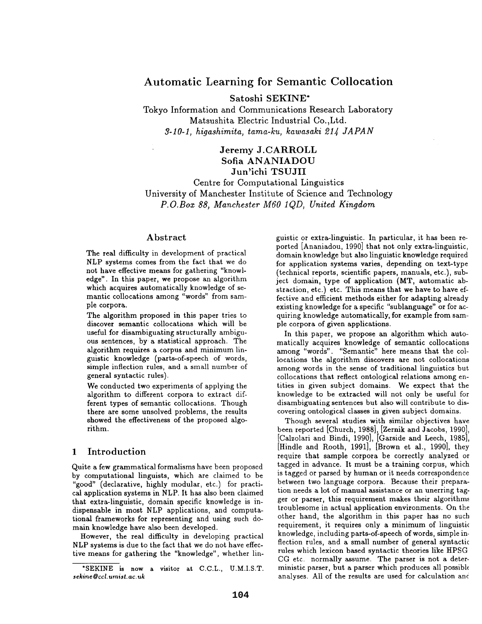# **Automatic Learning for Semantic Collocation**

Satoshi SEKINE\*

Tokyo Information and Communications Research Laboratory Matsushita Electric Industrial Co.,Ltd. *3-10-1, higashimita, tama-ku, kawasaki 214 JAPAN* 

# Jeremy J.CARROLL Sofia ANANIADOU Jun'ichi TSUJII

Centre for Computational Linguistics University of Manchester Institute of Science and Technology *P.O.Box 88, Manchester M60 1QD, United Kingdom* 

#### Abstract

The real difficulty in development of practical NLP systems comes from the fact that we do not have effective means for gathering "knowledge". In this paper, we propose an algorithm which acquires automatically knowledge of semantic collocations among "words" from sample corpora.

The algorithm proposed in this paper tries to discover semantic collocations which will be useful for disambiguating structurally ambiguous sentences, by a statistical approach. The algorithm requires a corpus and minimum linguistic knowledge (parts-of-speech of words, simple inflection rules, and a small number of general syntactic rules).

We conducted two experiments of applying the algorithm to different corpora to extract different types of semantic collocations. Though there are some unsolved problems, the results showed the effectiveness of the proposed algorithm.

## 1 Introduction

Quite a few grammatical formalisms have been proposed by computational linguists, which are claimed to be "good" (declarative, highly modular, etc.) for practical application systems in NLP. It has also been claimed that extra-linguistic, domain specific knowledge is indispensable in most NLP applications, and computational frameworks for representing and using such domain knowledge have also been developed.

However, the real difficulty in developing practical NLP systems is due to the fact that we do not have effective means for gathering the "knowledge", whether lin-

guistic or extra-linguistic. In particular, it has been reported [Ananiadou, 1990] that not only extra-linguistic, domain knowledge but also linguistic knowledge required for application systems varies, depending on text-type (technical reports, scientific papers, manuals, etc.), subject domain, type of application (MT, automatic abstraction, etc.) etc. This means that we have to have effective and efficient methods either for adapting already existing knowledge for a specific "sublanguage" or for acquiring knowledge automatically, for example from sample corpora of given applications.

In this paper, we propose an algorithm which automatically acquires knowledge of semantic collocations among "words". "Semantic" here means that the collocations the algorithm discovers are not collocations among words in the sense of traditional linguistics but collocations that reflect ontological relations among entities in given subject domains. We expect that the knowledge to be extracted will not only be useful for disambiguating sentences but also will contribute to discovering ontological classes in given subject domains.

Though several studies with similar objectives have been reported [Church, 1988], [Zernik and Jacobs, 1990], [Calzolari and Bindi, 1990], [Garside and Leech, 1985], [Hindle and Rooth, 1991], [Brown et al., 1990], they require that sample corpora be correctly analyzed or tagged in advance. It must be a training corpus, which is tagged or parsed by human or it needs correspondence between two language corpora. Because their preparation needs a lot of manual assistance or an unerring tagger or parser, this requirement makes their algorithms troublesome in actual application environments. On the other hand, the algorithm in this paper has no such requirement, it requires only a minimum of linguistic knowledge, including parts-of-speech of words, simple inflection rules, and a small number of general syntactic rules which lexicon based syntactic theories like HPSG CC etc. normally assume. The parser is not a deterministic parser, but a parser which produces all possible analyses. All of the results are used for calculation ant

<sup>\*</sup>SEKINE is now a visitor at C.C.L., U.M.I.S.T. *s ekine @ ccl. umist, ac. uk*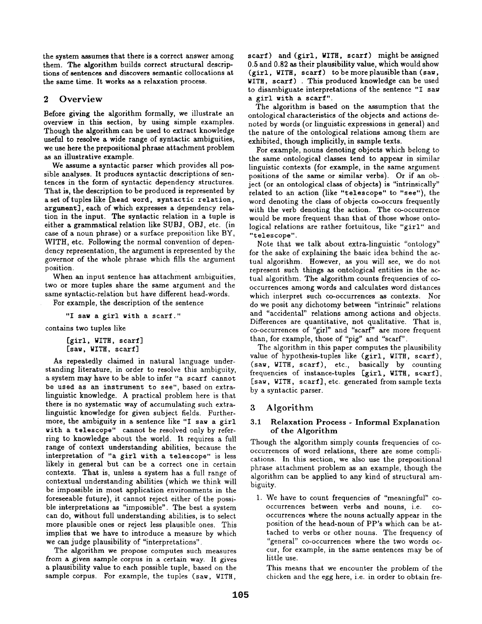the system assumes that there is a correct answer among them. The algorithm builds correct structural descriptions of sentences and discovers semantic collocations at the same time. It works as a relaxation process.

## 2 Overview

Before giving the algorithm formally, we illustrate an overview in this section, by using simple examples. Though the algorithm can be used to extract knowledge useful to resolve a wide range of syntactic ambiguities, we use here the prepositional phrase attachment problem as an illustrative example.

We assume a syntactic parser which provides all possible analyses. It produces syntactic descriptions of sentences in the form of syntactic dependency structures. That is, the description to be produced is represented by a set of tuples like [head word, syntactic relation, argument], each of which expresses a dependency relation in the input. The syntactic relation in a tuple is either a grammatical relation like SUBJ, OBJ, etc. (in case of a noun phrase) or a surface preposition like BY, WITH, etc. Following the normal convention of dependency representation, the argument is represented by the governor of the whole phrase which fills the argument position.

When an input sentence has attachment ambiguities, two or more tuples share the same argument and the same syntactic-relation but have different head-words.

For example, the description of the sentence

"I saw a girl with a scarf."

contains two tuples like

[girl, WITH, scarf] **[saw,** WITH, scarf]

As repeatedly claimed in natural language understanding literature, in order to resolve this ambiguity, a system may have to be able to infer "a scarf cannot be used as an instrument to see", based on extralinguistic knowledge. A practical problem here is that there is no systematic way of accumulating such extralinguistic knowledge for given subject fields. Furthermore, the ambiguity in a sentence like "I saw a girl with a telescope" cannot be resolved only by referring to knowledge about the world. It requires a full range of context understanding abilities, because the interpretation of "a girl with a telescope" is less likely in general but can be a correct one in certain contexts. That is, unless a system has a full range of contextual understanding abilities (which we think will be impossible in most application environments in the foreseeable future), it cannot reject either of the possible interpretations as "impossible". The best a system can do, without full understanding abilities, is to select more plausible ones or reject less plausible ones. This implies that we have to introduce a measure by which we can judge plausibility of "interpretations".

The algorithm we propose computes such measures from a given sample corpus in a certain way. It gives a plausibility value to each possible tuple, based on the sample corpus. For example, the tuples (saw, WITH, scarf) and (girl, WITH, scarf) might be assigned 0.5 and 0.82 as their plausibility value, which would show (girl, WITH, scarf) to be more plausible than (saw, WITH, scarf) . This produced knowledge can be used to disambiguate interpretations of the sentence "I saw a girl with a scarf".

The algorithm is based on the assumption that the ontological characteristics of the objects and actions denoted by words (or linguistic expressions in general) and the nature of the ontological relations among them are exhibited, though implicitly, in sample texts.

For example, nouns denoting objects which belong to the same ontological classes tend to appear in similar linguistic contexts (for example, in the same argument positions of the same or similar verbs). Or if an object (or an ontological class of objects) is "intrinsically" related to an action (like "telescope" to "see"), the word denoting the class of objects co-occurs frequently with the verb denoting the action. The co-occurrence would be more frequent than that of those whose ontological relations are rather fortuitous, like "girl" and "telescope".

Note that we talk about extra-linguistic "ontology" for the sake of explaining the basic idea behind the actual algorithm. However, as you will see, we do not represent such things as ontological entities in the actual algorithm. The algorithm counts frequencies of cooccurrences among words and calculates word distances which interpret such co-occurrences as contexts. Nor do we posit any dichotomy between "intrinsic" relations and "accidental" relations among actions and objects. Differences are quantitative, not qualitative. That is, co-occurrences of "girl" and "scarf" are more frequent than, for example, those of "pig" and "scarf".

The algorithm in this paper computes the plausibility value of hypothesis-tuples like (girl, WITH, scarf), (saw, WITH, scarf), etc., basically by counting frequencies of instance-tuples [girl, WITH, scarf], [saw, WITH, scarf], etc. generated from sample texts by a syntactic parser.

# 3 Algorithm

## 3.1 Relaxation Process - Informal Explanation of the Algorithm

Though the algorithm simply counts frequencies of cooccurrences of word relations, there are some complications. In this section, we also use the prepositional phrase attachment problem as an example, though the algorithm can be applied to any kind of structural ambiguity.

1. We have to count frequencies of "meaningful" cooccurrences between verbs and nouns, i.e. cooccurrences where the nouns actually appear in the position of the head-noun of PP's which can be attached to verbs or other nouns. The frequency of "general" co-occurrences where the two words occur, for example, in the same sentences may be of little use.

This means that we encounter the problem of the chicken and the egg here, i.e. in order to obtain fre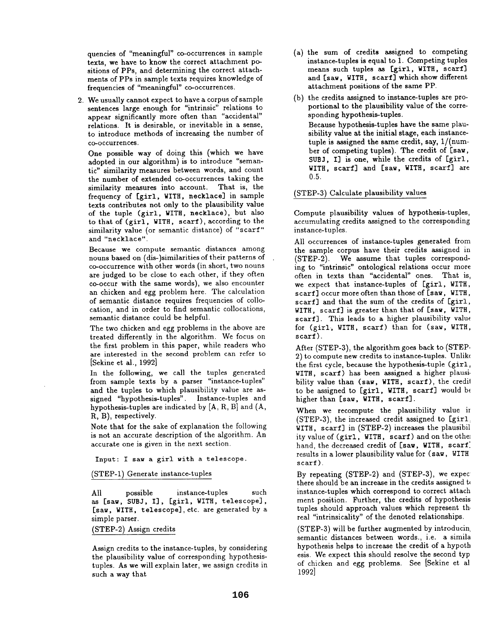quencies of "meaningful" co-occurrences in sample texts, we have to know the correct attachment positions of PPs, and determining the correct attachments of PPs in sample texts requires knowledge of frequencies of "meaningful" co-occurrences.

2. We usually cannot expect to have a corpus of sample sentences large enough for "intrinsic" relations to appear significantly more often than "accidental" relations. It is desirable, or inevitable in a sense, to introduce methods of increasing the number of co-occurrences.

One possible way of doing this (which we have adopted in our algorithm) is to introduce "semantic" similarity measures between words, and count the number of extended co-occurrences taking the similarity measures into account. That is, the frequency of [girl, WITH, necklace] in sample texts contributes not only to the plausibility value of the tuple (girl, WITH, necklace), but also to that of (girl, WITH, scarf), according to the similarity value (or semantic distance) of "scarf" and "necklace".

Because we compute semantic distances among nouns based on (dis-)similarities of their patterns of co-occurrence with other words (in short, two nouns are judged to be close to each other, if they often co-occur with the same words), we also encounter an chicken and egg problem here. The calculation of semantic distance requires frequencies of collocation, and in order to find semantic collocations, semantic distance could be helpful.

The two chicken and egg problems in the above are treated differently in the algorithm. We focus on the first problem in this paper, while readers who are interested in the second problem can refer to [Sekine et al., 1992]

In the following, we call the tuples generated from sample texts by a parser "instance-tuples" and the tuples to which plausibility value are assigned "hypothesis-tuples". Instance-tuples and hypothesis-tuples are indicated by [A, R, B] and (A, R, B), respectively.

Note that for the sake of explanation the following is not an accurate description of the algorithm. An accurate one is given in the next section.

Input: I saw a girl with a telescope.

(STEP-I) Generate instance-tuples

All possible instance-tuples such as [saw, SUBJ, I], [girl, WITH, telescope], [saw, WITH, telescope], etc. are generated by a simple parser.

(STEP-2) Assign credits

Assign credits to the instance-tuples, by considering the plausibility value of corresponding hypothesistuples. As we will explain later, we assign credits in such a way that

- **(a)**  the sum of credits assigned to competing instance-tuples is equal to 1. Competing tuples means such tuples as [girl, WITH, scarf] and [saw, WITH, scarf] which show different attachment positions of the same PP.
- (b) the credits assigned to instance-tuples are proportional to the plausibility value of the corresponding hypothesis-tuples. Because hypothesis-tuples have the same plausibility value at the initial stage, each instancetuple is assigned the same credit, say, 1/(number of competing tuples). The credit of [saw, SUBJ, I] is one, while the credits of [girl, WITH, scarf] and [saw, WITH, scarf] are 0.5.

#### (STEP-3) Calculate plausibility values

Compute plausibility values of hypothesis-tuples, accumulating credits assigned to the corresponding instance-tuples.

All occurrences of instance-tuples generated from the sample corpus have their credits assigned in (STEP-2). We assume that tuples corresponding to "intrinsic" ontological relations occur more often in texts than "accidental" ones. That is, we expect that instance-tuples of [girl, WITH, scarf] occur more often than those of [saw, WITH, scarf] and that the sum of the credits of [girl, WITH, scarf] is greater than that of [saw, WITH, scarf]. This leads to a higher plausibility value for (girl., WITH, scarf) than for (saw, WITH, scarf).

After (STEP-3), the algorithm goes back to (STEP-2) to compute new credits to instance-tuples. Unlike the first cycle, because the hypothesis-tuple (girl, WITH, scarf) has been assigned a higher plausi. bility value than (saw, WITH, scarf), the credit to be assigned to [girl, WITH, scarf] would be higher than [saw, WITH, scarf].

When we recompute the plausibility value ii  $(STEP-3)$ , the increased credit assigned to  $[giri]$ WITH, scarf] in (STEP-2) increases the plausibil ity value of (girl, WITH, scarf) and on the othel hand, the decreased credit of [saw, WITH, scarf: results in a lower plausibility value for (saw, WITH scarf).

By repeating (STEP-2) and (STEP-3), we expec there should be an increase in the credits assigned to instance-tuples which correspond to correct attach ment position. Further, the credits of hypothesis tuples should approach values which represent the real "intrinsicality" of the denoted relationships.

(STEP-3) will be further augmented by introducin semantic distances between words., i.e. a simila hypothesis helps to increase the credit of a hypoth esis. We expect this should resolve the second typ of chicken and egg problems. See [Sekine et al 1992]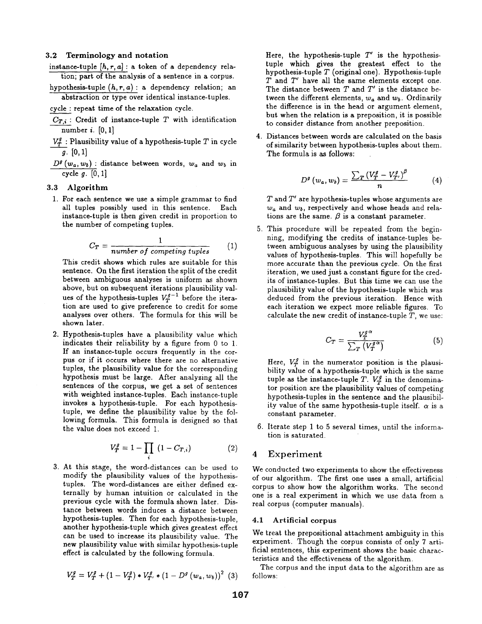#### 3.2 Terminology **and notation**

- instance-tuple  $[h, r, a]$ : a token of a dependency relation; part of the analysis of a sentence in a corpus.
- hypothesis-tuple *(h,r,a):* a dependency relation; an abstraction or type over identical instance-tuples.

cycle : repeat time of the relaxation cycle.

- $C_{T,i}$ : Credit of instance-tuple T with identification number  $i.$  [0, 1]
- $V_T^g$ : Plausibility value of a hypothesis-tuple T in cycle  $g. \, [0, 1]$
- $D^g(w_a, w_b)$ : distance between words,  $w_a$  and  $w_b$  in cycle  $g.$  [0, 1]

#### 3.3 Algorithm

1. For each sentence we use a simple grammar to find all tuples possibly used in this sentence. Each instance-tuple is then given credit in proportion to the number of competing tuples.

$$
C_T = \frac{1}{number\ of\ competing\ tuples} \tag{1}
$$

This credit shows which rules are suitable for this sentence. On the first iteration thesplit of the credit between ambiguous analyses is uniform as shown above, but on subsequent iterations plausibility values of the hypothesis-tuples  $V_T^{g-1}$  before the iteration are used to give preference to credit for some analyses over others. The formula for this will be shown later.

2. Hypothesis-tuples have a plausibility value which indicates their reliability by a figure from 0 to 1. If an instance-tuple occurs frequently in the corpus or if it occurs where there are no alternative tuples, the plausibility value for the corresponding hypothesis must be large. After analysing all the sentences of the corpus, we get a set of sentences with weighted instance-tuples. Each instance-tuple invokes a hypothesis-tuple. For each hypothesistuple, we define the plausibility value by the following formula. This formula is designed so that the value does not exceed 1.

$$
V_T^g = 1 - \prod_i (1 - C_{T,i})
$$
 (2)

3. At this stage, the word-distances can be used to modify the plausibility values of the hypothesistuples. The word-distances are either defined externally by human intuition or calculated in the previous cycle with the formula shown later. Distance between words induces a distance between hypothesis-tuples. Then for each hypothesis-tuple, another hypothesis-tuple which gives greatest effect can be used to increase its plausibility value. The new plausibility value with similar hypothesis-tuple effect is calculated by the following formula.

$$
V_T^g = V_T^g + (1 - V_T^g) * V_{T'}^g * (1 - D^g(w_a, w_b))^2
$$
 (3)

Here, the hypothesis-tuple  $T'$  is the hypothesistuple which gives the greatest effect to the hypothesis-tuple  $T$  (original one). Hypothesis-tuple  $T$  and  $T'$  have all the same elements except one. The distance between  $T$  and  $T'$  is the distance between the different elements,  $w_a$  and  $w_b$ . Ordinarily the difference is in the head or argument element, but when the relation is a preposition, it is possible to consider distance from another preposition.

**4.**  Distances between words are calculated on the basis of similarity between hypothesis-tuples about them. The formula is as follows:

$$
D^{g}(w_{a},w_{b})=\frac{\sum_{T}\left(V_{T}^{g}-V_{T'}^{g}\right)^{\beta}}{n}\qquad \qquad (4)
$$

 $T$  and  $T'$  are hypothesis-tuples whose arguments are  $w_a$  and  $w_b$ , respectively and whose heads and relations are the same.  $\beta$  is a constant parameter.

. This procedure will be repeated from the beginning, modifying the credits of instance-tuples between ambiguous analyses by using the plausibility values of hypothesis-tuples. This will hopefully be more accurate than the previous cycle. On the first iteration, we used just a constant figure for the credits of instance-tuples. But this time we can use the plausibility value of the hypothesis-tuple which was deduced from the previous iteration. Hence with each iteration we expect more reliable figures. To calculate the new credit of instance-tuple  $T$ , we use:

$$
C_T = \frac{V_T^{g\alpha}}{\sum_T \left(V_T^{g\alpha}\right)}\tag{5}
$$

Here,  $V_T^g$  in the numerator position is the plausibility value of a hypothesis-tuple which is the same tuple as the instance-tuple T.  $V_T^g$  in the denominator position are the plausibility values of competing hypothesis-tuples in the sentence and the plausibility value of the same hypothesis-tuple itself.  $\alpha$  is a constant parameter.

. Iterate step 1 to 5 several times, until the information is saturated.

### 4 Experiment

We conducted two experiments to show the effectiveness of our algorithm. The first one uses a small, artificial corpus to show how the algorithm works. The second one is a real experiment in which we use data from a real corpus (computer manuals).

#### 4.1 Artificial corpus

We treat the prepositional attachment ambiguity in this experiment. Though the corpus consists of only 7 artificial sentences, this experiment shows the basic characteristics and the effectiveness of the algorithm.

The corpus and the input data to the algorithm are as follows: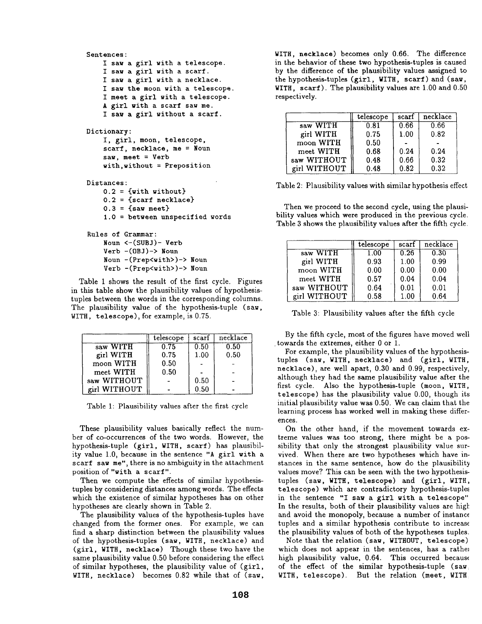```
Sentences: 
    I saw a girl with a telescope. 
    I saw a girl with a scarf. 
    I saw a girl with a necklace. 
    I saw the moon with a telescope. 
    I meet a girl with a telescope. 
    A girl with a scarf saw me. 
    I saw a girl without a scarf. 
Dictionary: 
    I, girl, moon, telescope, 
    scarf, necklace, me = Noun
    saw, meet = Verb
    with,without = Preposition 
Distances: 
    0.2 = \{with without\}0.2 = {scarf necklace} 
    0.3 = {saw meet}
    1.0 = between unspecified words 
Rules of Grammar: 
    Noun <-(SUB J)- Verb 
    Verb -(OBJ)-> Noun 
    Noun - (Prep<with>)-> Noun 
    Verb -(Prep<with>)-> Noun
```
Table 1 shows the result of the first cycle. Figures in this table show the plausibility values of hypothesistuples between the words in the corresponding columns. The plausibility value of the hypothesis-tuple (saw, WITH, telescope), for example, is 0.75.

|              | telescope | scarf    | necklace |
|--------------|-----------|----------|----------|
| saw WITH     | 0.75      | 0.50     | 0.50     |
| girl WITH    | 0.75      | 1.00     | 0.50     |
| moon WITH    | 0.50      |          |          |
| meet WITH    | 0.50      |          |          |
| saw WITHOUT  |           | 0.50     |          |
| girl WITHOUT |           | $0.50\,$ |          |

Table 1: Plausibility values after the first cycle

These plausibility values basically reflect the number of co-occurrences of the two words. However, the hypothesis-tuple (girl, WITH, scarf) has plausibility value 1.0, because in the sentence "A girl with a scarf saw me", there is no ambiguity in the attachment position of "with a scarf".

Then we compute the effects of similar hypothesistuples by considering distances among words. The effects which the existence of similar hypotheses has on other hypotheses are clearly shown in Table 2.

The plausibility values of the hypothesis-tuples have changed from the former ones. For example, we can find a sharp distinction between the plausibility values of the hypothesis-tuples (saw, WITH, necklace) and (girl, WITH, necklace) Though these two have the same plausibility value 0.50 before considering the effect of similar hypotheses, the plausibility value of (girl, WITH, necklace) becomes 0.82 while that of (saw,

WITH, necklace) becomes only 0.66. The difference in the behavior of these two hypothesis-tuples is caused by the difference of the plausibility values assigned to the hypothesis-tuples (girl, WITH, scarf) and (saw, WITH, scarf). The plausibility values are 1.00 and 0.50 respectively.

|              | telescope | scarf | necklace |
|--------------|-----------|-------|----------|
| saw WITH     | 0.81      | 0.66  | 0.66     |
| girl WITH    | 0.75      | 1.00  | 0.82     |
| moon WITH    | 0.50      |       |          |
| meet WITH    | 0.68      | 0.24  | 0.24     |
| saw WITHOUT  | 0.48      | 0.66  | 0.32     |
| girl WITHOUT | 0.48      | 0.82  | 0.32     |

Table 2: Plausibility values with similar hypothesis effect

Then we proceed to the second cycle, using the plausibility values which were produced in the previous cycle. Table 3 shows the plausibility values after the fifth cycle.

|              | telescope | scarf | necklace |
|--------------|-----------|-------|----------|
| saw WITH     | 1.00      | 0.26  | 0.30     |
| girl WITH    | 0.93      | 1.00  | 0.99     |
| moon WITH    | 0.00      | 0.00  | 0.00     |
| meet WITH    | 0.57      | 0.04  | 0.04     |
| saw WITHOUT  | 0.64      | 0.01  | 0.01     |
| girl WITHOUT | 0.58      | 1.00  | 0.64     |

Table 3: Plausibility values after the fifth cycle

By the fifth cycle, most of the figures have moved well • towards the extremes, either 0 or 1.

For example, the plausibility values of the hypothesistuples (saw, WITH, necklace) and (girl, WITH, necklace), are well apart, 0.30 and 0.99, respectively, although they had the same plausibility value after the first cycle. Also the hypothesis-tuple (moon, WITH, telescope) has the plausibility value 0.00, though its initial plausibility value was 0.50. We can claim that the learning process has worked well in making these differences.

On the other hand, if the movement towards extreme values was too strong, there might be a possibility that only the strongest plausibility value survived. When there are two hypotheses which have instances in the same sentence, how do the plausibility values move? This can be seen with the two hypothesistuples (saw, WITH, telescope) and (girl, WITH, telescope) which are contradictory hypothesis-tuple~ in the sentence "I saw a girl with a telescope" In the results, both of their plausibility values are high and avoid the monopoly, because a number of instance tuples and a similar hypothesis contribute to increase the plausibility values of both of the hypotheses tuples.

Note that the relation (saw, WITHOUT, telescope) which does not appear in the sentences, has a rather high plausibility value,  $0.64$ . This occurred because of the effect of the similar hypothesis-tuple (saw: WITH, telescope). But the relation (meet, WITH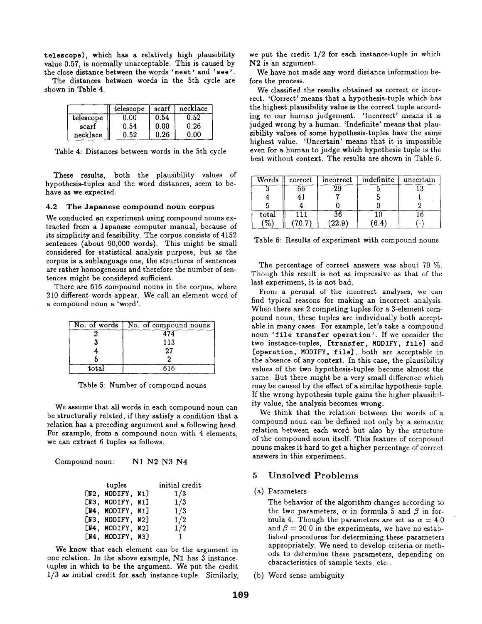telescope), which has a relatively high plausibility value 0.57, is normally unacceptable. This is caused by the close distance between the words 'meet' and 'see'.

The distances between words in the 5th cycle are shown in Table 4.

|           | telescope | scarf | necklace |
|-----------|-----------|-------|----------|
| telescope | $0.00\,$  | 0.54  | 0.52     |
| scarf     | 0.54      | 0.00  | 0.26     |
| necklace  | 0.52      | 0.26  | 0.00     |

Table 4: Distances between words in the 5th cycle

These results, both the plausibility values of hypothesis-tuples and the word distances, seem to behave as we expected.

#### 4.2 The Japanese compound noun corpus

We conducted an experiment using compound nouns extracted from a Japanese computer manual, because of its simplicity and feasibility. The corpus consists of 4152 sentences (about 90,000 words). This might be small considered for statistical analysis purpose, but as the corpus is a sublanguage one, the structures of sentences are rather homogeneous and therefore the number of sentences might be considered sufficient.

There are 616 compound nouns in the corpus, where 210 different words appear. We call an element word of a compound noun a 'word'.

|                | No. of words   No. of compound nouns |
|----------------|--------------------------------------|
|                |                                      |
|                | 113                                  |
|                | 27                                   |
|                |                                      |
| $_{\rm total}$ | 61 R                                 |

Table 5: Number of compound nouns

We assume that all words in each compound noun can be structurally related, if they satisfy a condition that a relation has a preceding argument and a following head. For example, from a compound noun with 4 elements, we can extract 6 tuples as follows.

Compound noun: N1 N2 N3 N4

| tuples           | initial credit |
|------------------|----------------|
| [N2, MODIFY, N1] | 1/3            |
| [N3, MODIFY, N1] | 1/3            |
| [N4, MODIFY, N1] | 1/3            |
| [N3, MODIFY, N2] | 1/2            |
| [N4, MODIFY, N2] | 1/2            |
| [N4, MODIFY, N3] |                |

We know that each element can be the argument in one relation. In the above example, N1 has 3 instancetuples in which to be the argument. We put the credit 1/3 as initial credit for each instance-tuple. Similarly, we put the credit 1/2 for each instance-tuple in which N2 is an argument.

We have not made any word distance information before the process.

We classified the results obtained as correct or incorrect. 'Correct' means that a hypothesis-tuple which has the highest plausibility value is the correct tuple according to our human judgement. 'Incorrect' means it is judged wrong by a human. 'Indefinite' means that plausibility values of some hypothesis-tuples have the same highest value. 'Uncertain' means that it is impossible even for a human to judge which hypothesis tuple is the best without context. The results are shown in Table 6.

| Words | correct | incorrect | indefinite | uncertain                |
|-------|---------|-----------|------------|--------------------------|
|       | 66      | 29        |            |                          |
|       |         |           |            |                          |
|       |         |           |            |                          |
| total |         |           |            |                          |
| $\%$  | 70.7    | 22.9      | 6.4        | $\overline{\phantom{0}}$ |

Table 6: Results of experiment with compound nouns

The percentage of correct answers was about 70 %. Though this result is not as impressive as that of the last experiment, it is not bad.

From a perusal of the incorrect analyses, we can find typical reasons for making an incorrect analysis. When there are 2 competing tuples for a 3-element compound noun, these tuples are individually both acceptable in many cases. For example, let's take a compound noun 'file transfer operation'. If we consider the two instance-tuples, [transfer, MODIFY, file] and [operation, MODIFY, file], both are acceptable in the absence of any context. In this case, the plausibility values of the two hypothesis-tuples become almost the same. But there might be a very small difference which may be caused by the effect of a similar hypothesis-tuple. If the wrong hypothesis tuple gains the higher plausibility value, the analysis becomes wrong.

We think that the relation between the words of a compound noun can be defined not only by a semantic relation between each word but also by the structure of the compound noun itself. This feature of compound nouns makes it hard to get a higher percentage of correct answers in this experiment.

## 5 Unsolved Problems

#### **(a)** Parameters

The behavior of the algorithm changes according to the two parameters,  $\alpha$  in formula 5 and  $\beta$  in formula 4. Though the parameters are set as  $\alpha = 4.0$ and  $\beta = 20.0$  in the experiments, we have no established procedures for determining these parameters appropriately. We need to develop criteria or methods to determine these parameters, depending on characteristics of sample texts, etc..

(b) Word sense ambiguity